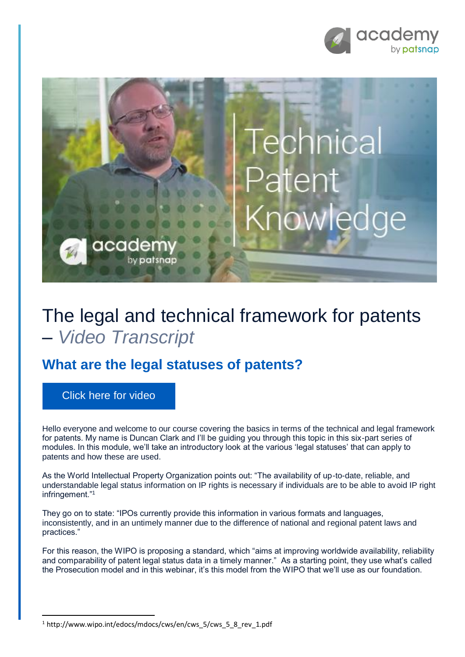



## The legal and technical framework for patents – *Video Transcript*

## **What are the legal statuses of patents?**

[Click here for video](https://academy.patsnap.com/courses/59bf8b7b7066d400129756ce/units/5a462af502989b0014b3d1a8#module-2)

**.** 

Hello everyone and welcome to our course covering the basics in terms of the technical and legal framework for patents. My name is Duncan Clark and I'll be guiding you through this topic in this six-part series of modules. In this module, we'll take an introductory look at the various 'legal statuses' that can apply to patents and how these are used.

As the World Intellectual Property Organization points out: "The availability of up-to-date, reliable, and understandable legal status information on IP rights is necessary if individuals are to be able to avoid IP right infringement."<sup>1</sup>

They go on to state: "IPOs currently provide this information in various formats and languages, inconsistently, and in an untimely manner due to the difference of national and regional patent laws and practices."

For this reason, the WIPO is proposing a standard, which "aims at improving worldwide availability, reliability and comparability of patent legal status data in a timely manner." As a starting point, they use what's called the Prosecution model and in this webinar, it's this model from the WIPO that we'll use as our foundation.

<sup>&</sup>lt;sup>1</sup> http://www.wipo.int/edocs/mdocs/cws/en/cws\_5/cws\_5\_8\_rev\_1.pdf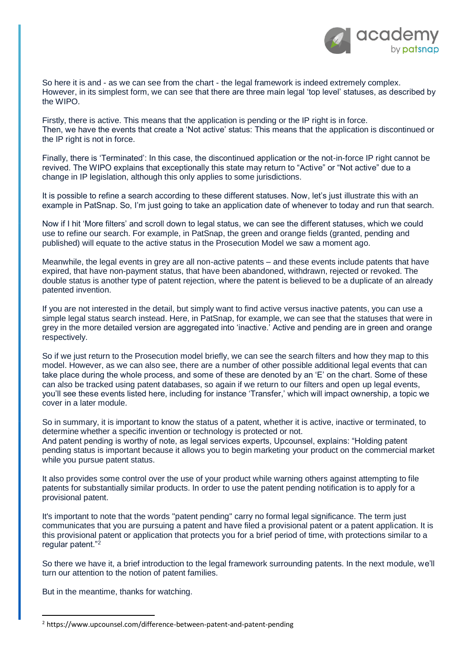

So here it is and - as we can see from the chart - the legal framework is indeed extremely complex. However, in its simplest form, we can see that there are three main legal 'top level' statuses, as described by the WIPO.

Firstly, there is active. This means that the application is pending or the IP right is in force. Then, we have the events that create a 'Not active' status: This means that the application is discontinued or the IP right is not in force.

Finally, there is 'Terminated': In this case, the discontinued application or the not-in-force IP right cannot be revived. The WIPO explains that exceptionally this state may return to "Active" or "Not active" due to a change in IP legislation, although this only applies to some jurisdictions.

It is possible to refine a search according to these different statuses. Now, let's just illustrate this with an example in PatSnap. So, I'm just going to take an application date of whenever to today and run that search.

Now if I hit 'More filters' and scroll down to legal status, we can see the different statuses, which we could use to refine our search. For example, in PatSnap, the green and orange fields (granted, pending and published) will equate to the active status in the Prosecution Model we saw a moment ago.

Meanwhile, the legal events in grey are all non-active patents – and these events include patents that have expired, that have non-payment status, that have been abandoned, withdrawn, rejected or revoked. The double status is another type of patent rejection, where the patent is believed to be a duplicate of an already patented invention.

If you are not interested in the detail, but simply want to find active versus inactive patents, you can use a simple legal status search instead. Here, in PatSnap, for example, we can see that the statuses that were in grey in the more detailed version are aggregated into 'inactive.' Active and pending are in green and orange respectively.

So if we just return to the Prosecution model briefly, we can see the search filters and how they map to this model. However, as we can also see, there are a number of other possible additional legal events that can take place during the whole process, and some of these are denoted by an 'E' on the chart. Some of these can also be tracked using patent databases, so again if we return to our filters and open up legal events, you'll see these events listed here, including for instance 'Transfer,' which will impact ownership, a topic we cover in a later module.

So in summary, it is important to know the status of a patent, whether it is active, inactive or terminated, to determine whether a specific invention or technology is protected or not.

And patent pending is worthy of note, as legal services experts, Upcounsel, explains: "Holding patent pending status is important because it allows you to begin marketing your product on the commercial market while you pursue patent status.

It also provides some control over the use of your product while warning others against attempting to file patents for substantially similar products. In order to use the patent pending notification is to apply for a provisional patent.

It's important to note that the words "patent pending" carry no formal legal significance. The term just communicates that you are pursuing a patent and have filed a provisional patent or a patent application. It is this provisional patent or application that protects you for a brief period of time, with protections similar to a regular patent."<sup>2</sup>

So there we have it, a brief introduction to the legal framework surrounding patents. In the next module, we'll turn our attention to the notion of patent families.

But in the meantime, thanks for watching.

**.** 

<sup>&</sup>lt;sup>2</sup> https://www.upcounsel.com/difference-between-patent-and-patent-pending